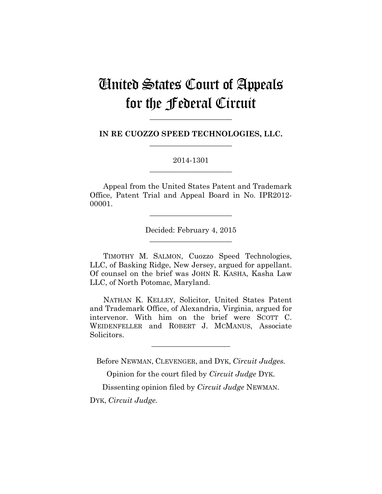# United States Court of Appeals for the Federal Circuit

**IN RE CUOZZO SPEED TECHNOLOGIES, LLC. \_\_\_\_\_\_\_\_\_\_\_\_\_\_\_\_\_\_\_\_\_\_**

**\_\_\_\_\_\_\_\_\_\_\_\_\_\_\_\_\_\_\_\_\_\_**

2014-1301 **\_\_\_\_\_\_\_\_\_\_\_\_\_\_\_\_\_\_\_\_\_\_**

Appeal from the United States Patent and Trademark Office, Patent Trial and Appeal Board in No. IPR2012- 00001.

> Decided: February 4, 2015 **\_\_\_\_\_\_\_\_\_\_\_\_\_\_\_\_\_\_\_\_\_\_**

**\_\_\_\_\_\_\_\_\_\_\_\_\_\_\_\_\_\_\_\_\_\_**

TIMOTHY M. SALMON, Cuozzo Speed Technologies, LLC, of Basking Ridge, New Jersey, argued for appellant. Of counsel on the brief was JOHN R. KASHA, Kasha Law LLC, of North Potomac, Maryland.

NATHAN K. KELLEY, Solicitor, United States Patent and Trademark Office, of Alexandria, Virginia, argued for intervenor. With him on the brief were SCOTT C. WEIDENFELLER and ROBERT J. MCMANUS, Associate Solicitors.

Before NEWMAN, CLEVENGER, and DYK, *Circuit Judges.*

**\_\_\_\_\_\_\_\_\_\_\_\_\_\_\_\_\_\_\_\_\_**

Opinion for the court filed by *Circuit Judge* DYK.

Dissenting opinion filed by *Circuit Judge* NEWMAN.

DYK, *Circuit Judge.*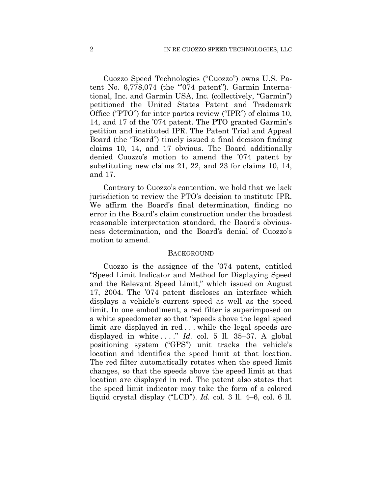Cuozzo Speed Technologies ("Cuozzo") owns U.S. Patent No.  $6,778,074$  (the "074 patent"). Garmin International, Inc. and Garmin USA, Inc. (collectively, "Garmin") petitioned the United States Patent and Trademark Office ("PTO") for inter partes review ("IPR") of claims 10, 14, and 17 of the '074 patent. The PTO granted Garmin's petition and instituted IPR. The Patent Trial and Appeal Board (the "Board") timely issued a final decision finding claims 10, 14, and 17 obvious. The Board additionally denied Cuozzo's motion to amend the '074 patent by substituting new claims 21, 22, and 23 for claims 10, 14, and 17.

Contrary to Cuozzo's contention, we hold that we lack jurisdiction to review the PTO's decision to institute IPR. We affirm the Board's final determination, finding no error in the Board's claim construction under the broadest reasonable interpretation standard, the Board's obviousness determination, and the Board's denial of Cuozzo's motion to amend.

#### **BACKGROUND**

Cuozzo is the assignee of the '074 patent, entitled "Speed Limit Indicator and Method for Displaying Speed and the Relevant Speed Limit," which issued on August 17, 2004. The '074 patent discloses an interface which displays a vehicle's current speed as well as the speed limit. In one embodiment, a red filter is superimposed on a white speedometer so that "speeds above the legal speed limit are displayed in red . . . while the legal speeds are displayed in white ...." *Id.* col. 5 ll. 35–37. A global positioning system ("GPS") unit tracks the vehicle's location and identifies the speed limit at that location. The red filter automatically rotates when the speed limit changes, so that the speeds above the speed limit at that location are displayed in red. The patent also states that the speed limit indicator may take the form of a colored liquid crystal display ("LCD"). *Id.* col. 3 ll. 4–6, col. 6 ll.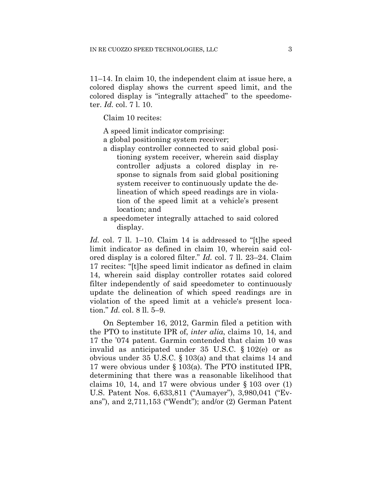11–14. In claim 10, the independent claim at issue here, a colored display shows the current speed limit, and the colored display is "integrally attached" to the speedometer. *Id.* col. 7 l. 10.

Claim 10 recites:

A speed limit indicator comprising:

a global positioning system receiver;

- a display controller connected to said global positioning system receiver, wherein said display controller adjusts a colored display in response to signals from said global positioning system receiver to continuously update the delineation of which speed readings are in violation of the speed limit at a vehicle's present location; and
- a speedometer integrally attached to said colored display.

*Id.* col. 7 ll. 1–10. Claim 14 is addressed to "[t]he speed limit indicator as defined in claim 10, wherein said colored display is a colored filter." *Id.* col. 7 ll. 23–24. Claim 17 recites: "[t]he speed limit indicator as defined in claim 14, wherein said display controller rotates said colored filter independently of said speedometer to continuously update the delineation of which speed readings are in violation of the speed limit at a vehicle's present location." *Id.* col. 8 ll. 5–9.

On September 16, 2012, Garmin filed a petition with the PTO to institute IPR of, *inter alia*, claims 10, 14, and 17 the '074 patent. Garmin contended that claim 10 was invalid as anticipated under 35 U.S.C. § 102(e) or as obvious under 35 U.S.C. § 103(a) and that claims 14 and 17 were obvious under § 103(a). The PTO instituted IPR, determining that there was a reasonable likelihood that claims 10, 14, and 17 were obvious under  $\S$  103 over (1) U.S. Patent Nos. 6,633,811 ("Aumayer"), 3,980,041 ("Evans"), and 2,711,153 ("Wendt"); and/or (2) German Patent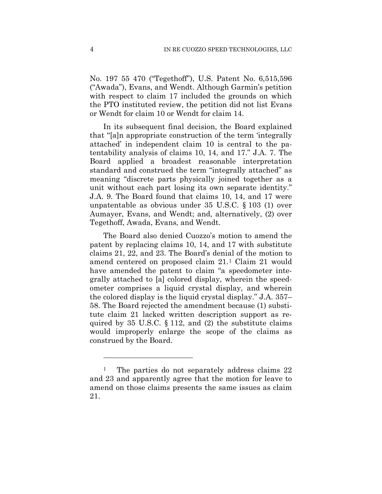No. 197 55 470 ("Tegethoff"), U.S. Patent No. 6,515,596 ("Awada"), Evans, and Wendt. Although Garmin's petition with respect to claim 17 included the grounds on which the PTO instituted review, the petition did not list Evans or Wendt for claim 10 or Wendt for claim 14.

In its subsequent final decision, the Board explained that "[a]n appropriate construction of the term 'integrally attached' in independent claim 10 is central to the patentability analysis of claims 10, 14, and 17." J.A. 7. The Board applied a broadest reasonable interpretation standard and construed the term "integrally attached" as meaning "discrete parts physically joined together as a unit without each part losing its own separate identity." J.A. 9. The Board found that claims 10, 14, and 17 were unpatentable as obvious under 35 U.S.C. § 103 (1) over Aumayer, Evans, and Wendt; and, alternatively, (2) over Tegethoff, Awada, Evans, and Wendt.

The Board also denied Cuozzo's motion to amend the patent by replacing claims 10, 14, and 17 with substitute claims 21, 22, and 23. The Board's denial of the motion to amend centered on proposed claim 21.[1](#page-3-0) Claim 21 would have amended the patent to claim "a speedometer integrally attached to [a] colored display, wherein the speedometer comprises a liquid crystal display, and wherein the colored display is the liquid crystal display." J.A. 357– 58. The Board rejected the amendment because (1) substitute claim 21 lacked written description support as required by 35 U.S.C.  $\S$  112, and (2) the substitute claims would improperly enlarge the scope of the claims as construed by the Board.

1

<span id="page-3-0"></span><sup>&</sup>lt;sup>1</sup> The parties do not separately address claims 22 and 23 and apparently agree that the motion for leave to amend on those claims presents the same issues as claim 21.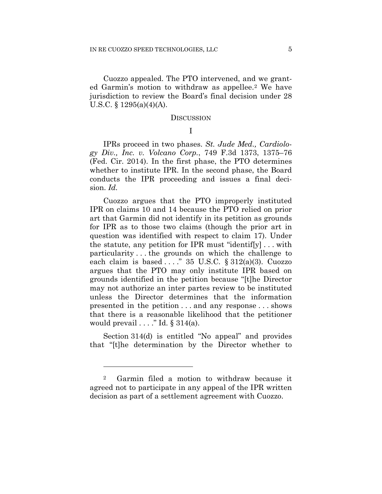Cuozzo appealed. The PTO intervened, and we granted Garmin's motion to withdraw as appellee.[2](#page-4-0) We have jurisdiction to review the Board's final decision under 28 U.S.C. § 1295(a)(4)(A).

#### **DISCUSSION**

# I

IPRs proceed in two phases. *St. Jude Med., Cardiology Div., Inc. v. Volcano Corp.*, 749 F.3d 1373, 1375–76 (Fed. Cir. 2014). In the first phase, the PTO determines whether to institute IPR. In the second phase, the Board conducts the IPR proceeding and issues a final decision. *Id.* 

Cuozzo argues that the PTO improperly instituted IPR on claims 10 and 14 because the PTO relied on prior art that Garmin did not identify in its petition as grounds for IPR as to those two claims (though the prior art in question was identified with respect to claim 17). Under the statute, any petition for IPR must "identif[y] . . . with particularity . . . the grounds on which the challenge to each claim is based ...." 35 U.S.C.  $\S 312(a)(3)$ . Cuozzo argues that the PTO may only institute IPR based on grounds identified in the petition because "[t]he Director may not authorize an inter partes review to be instituted unless the Director determines that the information presented in the petition . . . and any response . . . shows that there is a reasonable likelihood that the petitioner would prevail  $\dots$ ." Id. § 314(a).

Section 314(d) is entitled "No appeal" and provides that "[t]he determination by the Director whether to

<u>.</u>

<span id="page-4-0"></span><sup>2</sup> Garmin filed a motion to withdraw because it agreed not to participate in any appeal of the IPR written decision as part of a settlement agreement with Cuozzo.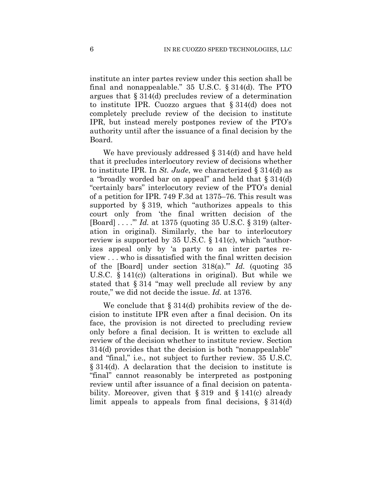institute an inter partes review under this section shall be final and nonappealable." 35 U.S.C. § 314(d). The PTO argues that § 314(d) precludes review of a determination to institute IPR. Cuozzo argues that § 314(d) does not completely preclude review of the decision to institute IPR, but instead merely postpones review of the PTO's authority until after the issuance of a final decision by the Board.

We have previously addressed § 314(d) and have held that it precludes interlocutory review of decisions whether to institute IPR. In *St. Jude*, we characterized § 314(d) as a "broadly worded bar on appeal" and held that § 314(d) "certainly bars" interlocutory review of the PTO's denial of a petition for IPR. 749 F.3d at 1375–76. This result was supported by § 319, which "authorizes appeals to this court only from 'the final written decision of the [Board] . . . .'" *Id.* at 1375 (quoting 35 U.S.C. § 319) (alteration in original). Similarly, the bar to interlocutory review is supported by 35 U.S.C. § 141(c), which "authorizes appeal only by 'a party to an inter partes review . . . who is dissatisfied with the final written decision of the [Board] under section 318(a).'" *Id.* (quoting 35 U.S.C. § 141(c)) (alterations in original). But while we stated that § 314 "may well preclude all review by any route," we did not decide the issue. *Id.* at 1376.

We conclude that  $\S 314(d)$  prohibits review of the decision to institute IPR even after a final decision. On its face, the provision is not directed to precluding review only before a final decision. It is written to exclude all review of the decision whether to institute review. Section 314(d) provides that the decision is both "nonappealable" and "final," i.e., not subject to further review. 35 U.S.C. § 314(d). A declaration that the decision to institute is "final" cannot reasonably be interpreted as postponing review until after issuance of a final decision on patentability. Moreover, given that  $\S 319$  and  $\S 141(c)$  already limit appeals to appeals from final decisions, § 314(d)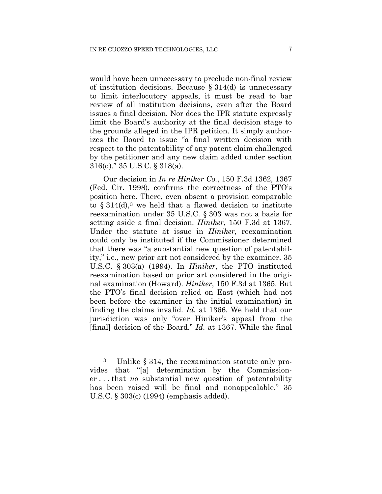would have been unnecessary to preclude non-final review of institution decisions. Because § 314(d) is unnecessary to limit interlocutory appeals, it must be read to bar review of all institution decisions, even after the Board issues a final decision. Nor does the IPR statute expressly limit the Board's authority at the final decision stage to the grounds alleged in the IPR petition. It simply authorizes the Board to issue "a final written decision with respect to the patentability of any patent claim challenged by the petitioner and any new claim added under section 316(d)." 35 U.S.C. § 318(a).

Our decision in *In re Hiniker Co.*, 150 F.3d 1362, 1367 (Fed. Cir. 1998), confirms the correctness of the PTO's position here. There, even absent a provision comparable to  $\S 314(d),$  $\S 314(d),$  $\S 314(d),$ <sup>3</sup> we held that a flawed decision to institute reexamination under 35 U.S.C. § 303 was not a basis for setting aside a final decision. *Hiniker*, 150 F.3d at 1367. Under the statute at issue in *Hiniker*, reexamination could only be instituted if the Commissioner determined that there was "a substantial new question of patentability," i.e., new prior art not considered by the examiner. 35 U.S.C. § 303(a) (1994). In *Hiniker*, the PTO instituted reexamination based on prior art considered in the original examination (Howard). *Hiniker*, 150 F.3d at 1365. But the PTO's final decision relied on East (which had not been before the examiner in the initial examination) in finding the claims invalid. *Id.* at 1366. We held that our jurisdiction was only "over Hiniker's appeal from the [final] decision of the Board." *Id.* at 1367. While the final

<u>.</u>

<span id="page-6-0"></span><sup>3</sup> Unlike § 314, the reexamination statute only provides that "[a] determination by the Commissioner . . . that *no* substantial new question of patentability has been raised will be final and nonappealable." 35 U.S.C. § 303(c) (1994) (emphasis added).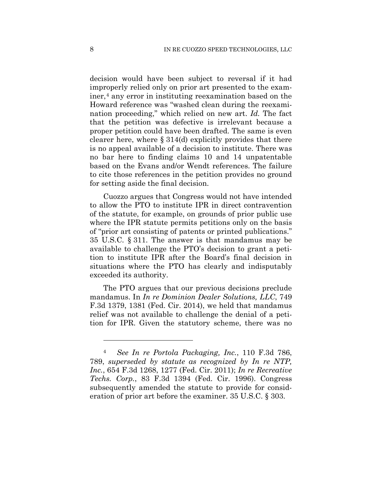decision would have been subject to reversal if it had improperly relied only on prior art presented to the exam-iner,<sup>[4](#page-7-0)</sup> any error in instituting reexamination based on the Howard reference was "washed clean during the reexamination proceeding," which relied on new art. *Id.* The fact that the petition was defective is irrelevant because a proper petition could have been drafted. The same is even clearer here, where § 314(d) explicitly provides that there is no appeal available of a decision to institute. There was no bar here to finding claims 10 and 14 unpatentable based on the Evans and/or Wendt references. The failure to cite those references in the petition provides no ground for setting aside the final decision.

Cuozzo argues that Congress would not have intended to allow the PTO to institute IPR in direct contravention of the statute, for example, on grounds of prior public use where the IPR statute permits petitions only on the basis of "prior art consisting of patents or printed publications." 35 U.S.C. § 311. The answer is that mandamus may be available to challenge the PTO's decision to grant a petition to institute IPR after the Board's final decision in situations where the PTO has clearly and indisputably exceeded its authority.

The PTO argues that our previous decisions preclude mandamus. In *In re Dominion Dealer Solutions, LLC*, 749 F.3d 1379, 1381 (Fed. Cir. 2014), we held that mandamus relief was not available to challenge the denial of a petition for IPR. Given the statutory scheme, there was no

<u>.</u>

<span id="page-7-0"></span><sup>4</sup> *See In re Portola Packaging, Inc.*, 110 F.3d 786, 789, *superseded by statute as recognized by In re NTP, Inc.*, 654 F.3d 1268, 1277 (Fed. Cir. 2011); *In re Recreative Techs. Corp.*, 83 F.3d 1394 (Fed. Cir. 1996). Congress subsequently amended the statute to provide for consideration of prior art before the examiner. 35 U.S.C. § 303.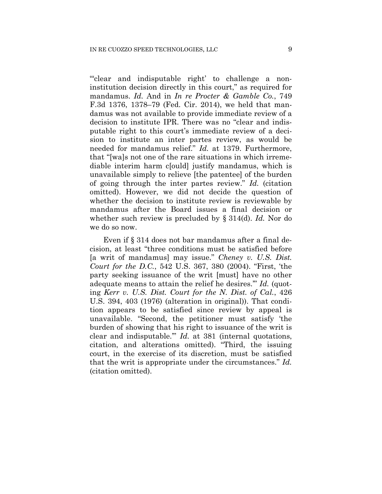"'clear and indisputable right' to challenge a noninstitution decision directly in this court," as required for mandamus. *Id.* And in *In re Procter & Gamble Co.*, 749 F.3d 1376, 1378–79 (Fed. Cir. 2014), we held that mandamus was not available to provide immediate review of a decision to institute IPR. There was no "clear and indisputable right to this court's immediate review of a decision to institute an inter partes review, as would be needed for mandamus relief." *Id.* at 1379. Furthermore, that "[wa]s not one of the rare situations in which irremediable interim harm c[ould] justify mandamus, which is unavailable simply to relieve [the patentee] of the burden of going through the inter partes review." *Id.* (citation omitted). However, we did not decide the question of whether the decision to institute review is reviewable by mandamus after the Board issues a final decision or whether such review is precluded by § 314(d). *Id.* Nor do we do so now.

Even if § 314 does not bar mandamus after a final decision, at least "three conditions must be satisfied before [a writ of mandamus] may issue." *Cheney v. U.S. Dist. Court for the D.C.*, 542 U.S. 367, 380 (2004). "First, 'the party seeking issuance of the writ [must] have no other adequate means to attain the relief he desires.'" *Id.* (quoting *Kerr v. U.S. Dist. Court for the N. Dist. of Cal.*, 426 U.S. 394, 403 (1976) (alteration in original)). That condition appears to be satisfied since review by appeal is unavailable. "Second, the petitioner must satisfy 'the burden of showing that his right to issuance of the writ is clear and indisputable.'" *Id.* at 381 (internal quotations, citation, and alterations omitted). "Third, the issuing court, in the exercise of its discretion, must be satisfied that the writ is appropriate under the circumstances." *Id.* (citation omitted).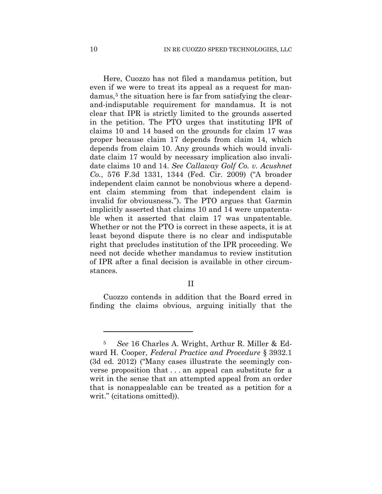Here, Cuozzo has not filed a mandamus petition, but even if we were to treat its appeal as a request for man-damus,<sup>[5](#page-9-0)</sup> the situation here is far from satisfying the clearand-indisputable requirement for mandamus. It is not clear that IPR is strictly limited to the grounds asserted in the petition. The PTO urges that instituting IPR of claims 10 and 14 based on the grounds for claim 17 was proper because claim 17 depends from claim 14, which depends from claim 10. Any grounds which would invalidate claim 17 would by necessary implication also invalidate claims 10 and 14. *See Callaway Golf Co. v. Acushnet Co.*, 576 F.3d 1331, 1344 (Fed. Cir. 2009) ("A broader independent claim cannot be nonobvious where a dependent claim stemming from that independent claim is invalid for obviousness."). The PTO argues that Garmin implicitly asserted that claims 10 and 14 were unpatentable when it asserted that claim 17 was unpatentable. Whether or not the PTO is correct in these aspects, it is at least beyond dispute there is no clear and indisputable right that precludes institution of the IPR proceeding. We need not decide whether mandamus to review institution of IPR after a final decision is available in other circumstances.

#### II

Cuozzo contends in addition that the Board erred in finding the claims obvious, arguing initially that the

1

<span id="page-9-0"></span><sup>5</sup> *See* 16 Charles A. Wright, Arthur R. Miller & Edward H. Cooper, *Federal Practice and Procedure* § 3932.1 (3d ed. 2012) ("Many cases illustrate the seemingly converse proposition that . . . an appeal can substitute for a writ in the sense that an attempted appeal from an order that is nonappealable can be treated as a petition for a writ." (citations omitted)).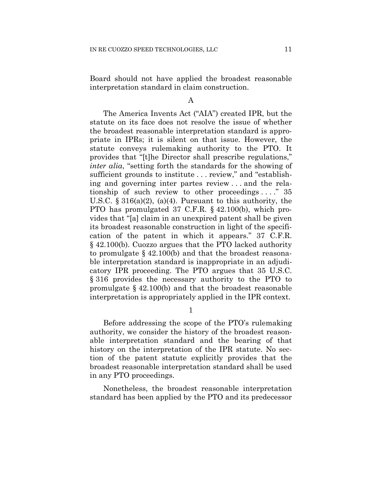Board should not have applied the broadest reasonable interpretation standard in claim construction.

A

The America Invents Act ("AIA") created IPR, but the statute on its face does not resolve the issue of whether the broadest reasonable interpretation standard is appropriate in IPRs; it is silent on that issue. However, the statute conveys rulemaking authority to the PTO. It provides that "[t]he Director shall prescribe regulations," *inter alia*, "setting forth the standards for the showing of sufficient grounds to institute . . . review," and "establishing and governing inter partes review . . . and the relationship of such review to other proceedings  $\dots$  35 U.S.C.  $\S 316(a)(2)$ , (a)(4). Pursuant to this authority, the PTO has promulgated 37 C.F.R. § 42.100(b), which provides that "[a] claim in an unexpired patent shall be given its broadest reasonable construction in light of the specification of the patent in which it appears." 37 C.F.R. § 42.100(b). Cuozzo argues that the PTO lacked authority to promulgate § 42.100(b) and that the broadest reasonable interpretation standard is inappropriate in an adjudicatory IPR proceeding. The PTO argues that 35 U.S.C. § 316 provides the necessary authority to the PTO to promulgate  $\S$  42.100(b) and that the broadest reasonable interpretation is appropriately applied in the IPR context.

1

Before addressing the scope of the PTO's rulemaking authority, we consider the history of the broadest reasonable interpretation standard and the bearing of that history on the interpretation of the IPR statute. No section of the patent statute explicitly provides that the broadest reasonable interpretation standard shall be used in any PTO proceedings.

Nonetheless, the broadest reasonable interpretation standard has been applied by the PTO and its predecessor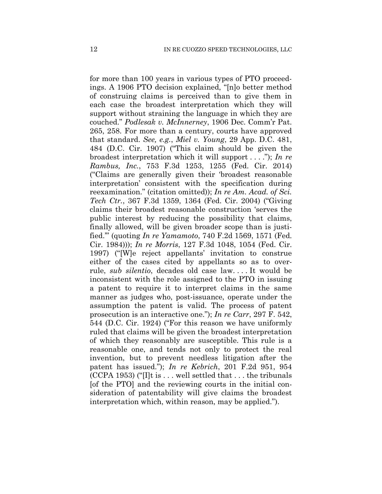for more than 100 years in various types of PTO proceedings. A 1906 PTO decision explained, "[n]o better method of construing claims is perceived than to give them in each case the broadest interpretation which they will support without straining the language in which they are couched." *Podlesak v. McInnerney*, 1906 Dec. Comm'r Pat. 265, 258. For more than a century, courts have approved that standard. *See, e.g.*, *Miel v. Young*, 29 App. D.C. 481, 484 (D.C. Cir. 1907) ("This claim should be given the broadest interpretation which it will support . . . ."); *In re Rambus, Inc.*, 753 F.3d 1253, 1255 (Fed. Cir. 2014) ("Claims are generally given their 'broadest reasonable interpretation' consistent with the specification during reexamination." (citation omitted)); *In re Am. Acad. of Sci. Tech Ctr.*, 367 F.3d 1359, 1364 (Fed. Cir. 2004) ("Giving claims their broadest reasonable construction 'serves the public interest by reducing the possibility that claims, finally allowed, will be given broader scope than is justified.'" (quoting *In re Yamamoto*, 740 F.2d 1569, 1571 (Fed. Cir. 1984))); *In re Morris*, 127 F.3d 1048, 1054 (Fed. Cir. 1997) ("[W]e reject appellants' invitation to construe either of the cases cited by appellants so as to overrule, *sub silentio*, decades old case law. . . . It would be inconsistent with the role assigned to the PTO in issuing a patent to require it to interpret claims in the same manner as judges who, post-issuance, operate under the assumption the patent is valid. The process of patent prosecution is an interactive one."); *In re Carr*, 297 F. 542, 544 (D.C. Cir. 1924) ("For this reason we have uniformly ruled that claims will be given the broadest interpretation of which they reasonably are susceptible. This rule is a reasonable one, and tends not only to protect the real invention, but to prevent needless litigation after the patent has issued."); *In re Kebrich*, 201 F.2d 951, 954  $(CCPA 1953)$  ("I]t is ... well settled that ... the tribunals [of the PTO] and the reviewing courts in the initial consideration of patentability will give claims the broadest interpretation which, within reason, may be applied.").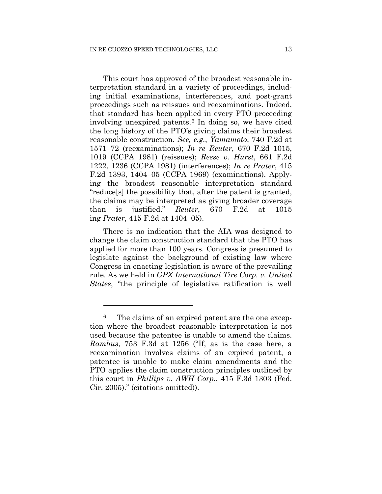This court has approved of the broadest reasonable interpretation standard in a variety of proceedings, including initial examinations, interferences, and post-grant proceedings such as reissues and reexaminations. Indeed, that standard has been applied in every PTO proceeding involving unexpired patents.<sup>[6](#page-12-0)</sup> In doing so, we have cited the long history of the PTO's giving claims their broadest reasonable construction. *See, e.g.*, *Yamamoto*, 740 F.2d at 1571–72 (reexaminations); *In re Reuter*, 670 F.2d 1015, 1019 (CCPA 1981) (reissues); *Reese v. Hurst*, 661 F.2d 1222, 1236 (CCPA 1981) (interferences); *In re Prater*, 415 F.2d 1393, 1404–05 (CCPA 1969) (examinations). Applying the broadest reasonable interpretation standard "reduce[s] the possibility that, after the patent is granted, the claims may be interpreted as giving broader coverage than is justified." *Reuter*, 670 F.2d at 1015 ing *Prater*, 415 F.2d at 1404–05).

There is no indication that the AIA was designed to change the claim construction standard that the PTO has applied for more than 100 years. Congress is presumed to legislate against the background of existing law where Congress in enacting legislation is aware of the prevailing rule. As we held in *GPX International Tire Corp. v. United States*, "the principle of legislative ratification is well

1

<span id="page-12-0"></span><sup>6</sup> The claims of an expired patent are the one exception where the broadest reasonable interpretation is not used because the patentee is unable to amend the claims. *Rambus*, 753 F.3d at 1256 ("If, as is the case here, a reexamination involves claims of an expired patent, a patentee is unable to make claim amendments and the PTO applies the claim construction principles outlined by this court in *Phillips v. AWH Corp.*, 415 F.3d 1303 (Fed. Cir. 2005)." (citations omitted)).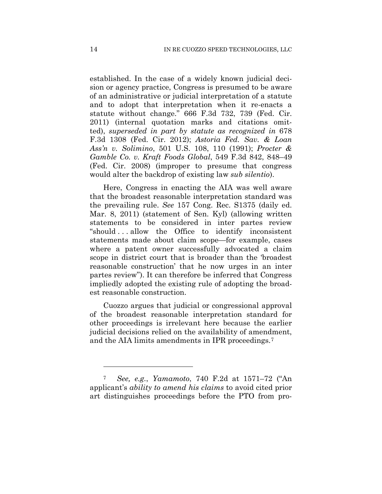established. In the case of a widely known judicial decision or agency practice, Congress is presumed to be aware of an administrative or judicial interpretation of a statute and to adopt that interpretation when it re-enacts a statute without change." 666 F.3d 732, 739 (Fed. Cir. 2011) (internal quotation marks and citations omitted), *superseded in part by statute as recognized in* 678 F.3d 1308 (Fed. Cir. 2012); *Astoria Fed. Sav. & Loan Ass'n v. Solimino*, 501 U.S. 108, 110 (1991); *Procter & Gamble Co. v. Kraft Foods Global*, 549 F.3d 842, 848–49 (Fed. Cir. 2008) (improper to presume that congress would alter the backdrop of existing law *sub silentio*).

Here, Congress in enacting the AIA was well aware that the broadest reasonable interpretation standard was the prevailing rule. *See* 157 Cong. Rec. S1375 (daily ed. Mar. 8, 2011) (statement of Sen. Kyl) (allowing written statements to be considered in inter partes review "should . . . allow the Office to identify inconsistent statements made about claim scope—for example, cases where a patent owner successfully advocated a claim scope in district court that is broader than the 'broadest reasonable construction' that he now urges in an inter partes review"). It can therefore be inferred that Congress impliedly adopted the existing rule of adopting the broadest reasonable construction.

Cuozzo argues that judicial or congressional approval of the broadest reasonable interpretation standard for other proceedings is irrelevant here because the earlier judicial decisions relied on the availability of amendment, and the AIA limits amendments in IPR proceedings.[7](#page-13-0)

<u>.</u>

<span id="page-13-0"></span><sup>7</sup> *See, e.g.*, *Yamamoto*, 740 F.2d at 1571–72 ("An applicant's *ability to amend his claims* to avoid cited prior art distinguishes proceedings before the PTO from pro-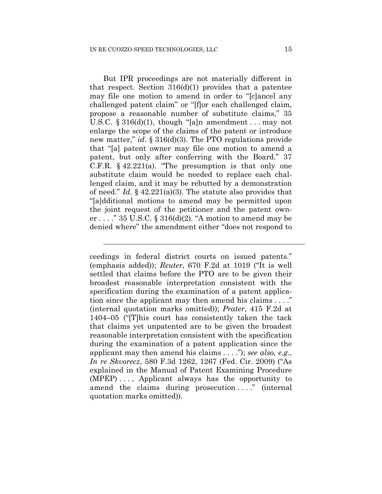$\overline{a}$ 

But IPR proceedings are not materially different in that respect. Section  $316(d)(1)$  provides that a patentee may file one motion to amend in order to "[c]ancel any challenged patent claim" or "[f]or each challenged claim, propose a reasonable number of substitute claims," 35 U.S.C.  $\S 316(d)(1)$ , though "[a]n amendment ... may not enlarge the scope of the claims of the patent or introduce new matter," *id*. § 316(d)(3). The PTO regulations provide that "[a] patent owner may file one motion to amend a patent, but only after conferring with the Board." 37 C.F.R.  $§$  42.221(a). "The presumption is that only one substitute claim would be needed to replace each challenged claim, and it may be rebutted by a demonstration of need." *Id.* § 42.221(a)(3). The statute also provides that "[a]dditional motions to amend may be permitted upon the joint request of the petitioner and the patent owner ...." 35 U.S.C.  $\S 316(d)(2)$ . "A motion to amend may be denied where" the amendment either "does not respond to

ceedings in federal district courts on issued patents." (emphasis added)); *Reuter*, 670 F.2d at 1019 ("It is well settled that claims before the PTO are to be given their broadest reasonable interpretation consistent with the specification during the examination of a patent application since the applicant may then amend his claims . . . ." (internal quotation marks omitted)); *Prater*, 415 F.2d at 1404–05 ("[T]his court has consistently taken the tack that claims yet unpatented are to be given the broadest reasonable interpretation consistent with the specification during the examination of a patent application since the applicant may then amend his claims . . . ."); *see also, e.g.*, *In re Skvorecz*, 580 F.3d 1262, 1267 (Fed. Cir. 2009) ("As explained in the Manual of Patent Examining Procedure (MPEP) . . . , Applicant always has the opportunity to amend the claims during prosecution ...." (internal quotation marks omitted)).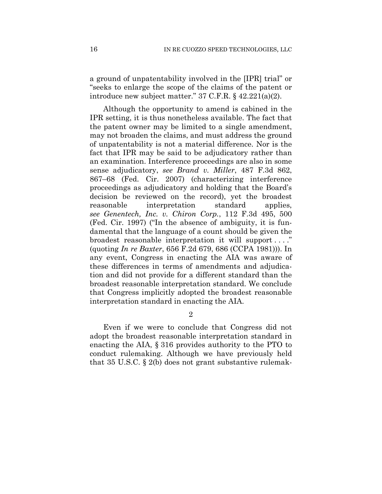a ground of unpatentability involved in the [IPR] trial" or "seeks to enlarge the scope of the claims of the patent or introduce new subject matter." 37 C.F.R. § 42.221(a)(2).

Although the opportunity to amend is cabined in the IPR setting, it is thus nonetheless available. The fact that the patent owner may be limited to a single amendment, may not broaden the claims, and must address the ground of unpatentability is not a material difference. Nor is the fact that IPR may be said to be adjudicatory rather than an examination. Interference proceedings are also in some sense adjudicatory, *see Brand v. Miller*, 487 F.3d 862, 867–68 (Fed. Cir. 2007) (characterizing interference proceedings as adjudicatory and holding that the Board's decision be reviewed on the record), yet the broadest reasonable interpretation standard applies, *see Genentech, Inc. v. Chiron Corp.*, 112 F.3d 495, 500 (Fed. Cir. 1997) ("In the absence of ambiguity, it is fundamental that the language of a count should be given the broadest reasonable interpretation it will support . . . ." (quoting *In re Baxter*, 656 F.2d 679, 686 (CCPA 1981))). In any event, Congress in enacting the AIA was aware of these differences in terms of amendments and adjudication and did not provide for a different standard than the broadest reasonable interpretation standard. We conclude that Congress implicitly adopted the broadest reasonable interpretation standard in enacting the AIA.

2

Even if we were to conclude that Congress did not adopt the broadest reasonable interpretation standard in enacting the AIA, § 316 provides authority to the PTO to conduct rulemaking. Although we have previously held that 35 U.S.C. § 2(b) does not grant substantive rulemak-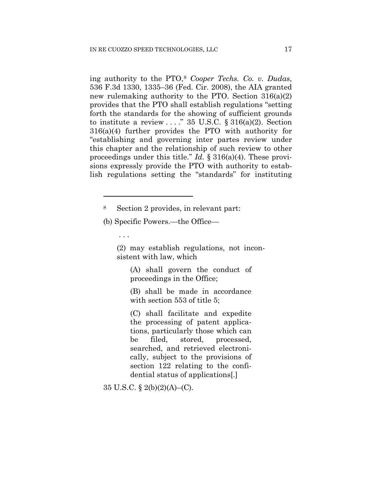ing authority to the PTO,[8](#page-16-0) *Cooper Techs. Co. v. Dudas*, 536 F.3d 1330, 1335–36 (Fed. Cir. 2008), the AIA granted new rulemaking authority to the PTO. Section 316(a)(2) provides that the PTO shall establish regulations "setting forth the standards for the showing of sufficient grounds to institute a review  $\ldots$ ." 35 U.S.C. § 316(a)(2). Section 316(a)(4) further provides the PTO with authority for "establishing and governing inter partes review under this chapter and the relationship of such review to other proceedings under this title." *Id.* § 316(a)(4). These provisions expressly provide the PTO with authority to establish regulations setting the "standards" for instituting

(b) Specific Powers.—the Office—

. . .

<u>.</u>

(2) may establish regulations, not inconsistent with law, which

(A) shall govern the conduct of proceedings in the Office;

(B) shall be made in accordance with section 553 of title 5;

(C) shall facilitate and expedite the processing of patent applications, particularly those which can be filed, stored, processed, searched, and retrieved electronically, subject to the provisions of section 122 relating to the confidential status of applications[.]

35 U.S.C. § 2(b)(2)(A)–(C).

<span id="page-16-0"></span><sup>8</sup> Section 2 provides, in relevant part: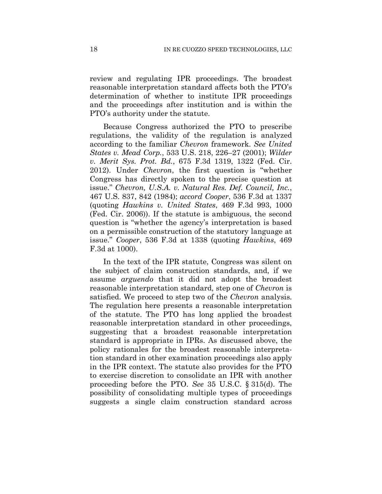review and regulating IPR proceedings. The broadest reasonable interpretation standard affects both the PTO's determination of whether to institute IPR proceedings and the proceedings after institution and is within the PTO's authority under the statute.

Because Congress authorized the PTO to prescribe regulations, the validity of the regulation is analyzed according to the familiar *Chevron* framework. *See United States v. Mead Corp.*, 533 U.S. 218, 226–27 (2001); *Wilder v. Merit Sys. Prot. Bd.*, 675 F.3d 1319, 1322 (Fed. Cir. 2012). Under *Chevron*, the first question is "whether Congress has directly spoken to the precise question at issue." *Chevron, U.S.A. v. Natural Res. Def. Council, Inc.*, 467 U.S. 837, 842 (1984); *accord Cooper*, 536 F.3d at 1337 (quoting *Hawkins v. United States*, 469 F.3d 993, 1000 (Fed. Cir. 2006)). If the statute is ambiguous, the second question is "whether the agency's interpretation is based on a permissible construction of the statutory language at issue." *Cooper*, 536 F.3d at 1338 (quoting *Hawkins*, 469 F.3d at 1000).

In the text of the IPR statute, Congress was silent on the subject of claim construction standards, and, if we assume *arguendo* that it did not adopt the broadest reasonable interpretation standard, step one of *Chevron* is satisfied. We proceed to step two of the *Chevron* analysis. The regulation here presents a reasonable interpretation of the statute. The PTO has long applied the broadest reasonable interpretation standard in other proceedings, suggesting that a broadest reasonable interpretation standard is appropriate in IPRs. As discussed above, the policy rationales for the broadest reasonable interpretation standard in other examination proceedings also apply in the IPR context. The statute also provides for the PTO to exercise discretion to consolidate an IPR with another proceeding before the PTO. *See* 35 U.S.C. § 315(d). The possibility of consolidating multiple types of proceedings suggests a single claim construction standard across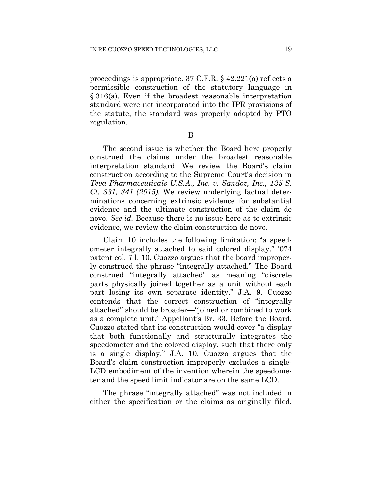proceedings is appropriate. 37 C.F.R. § 42.221(a) reflects a permissible construction of the statutory language in § 316(a). Even if the broadest reasonable interpretation standard were not incorporated into the IPR provisions of the statute, the standard was properly adopted by PTO regulation.

B

The second issue is whether the Board here properly construed the claims under the broadest reasonable interpretation standard. We review the Board's claim construction according to the Supreme Court's decision in *Teva Pharmaceuticals U.S.A., Inc. v. Sandoz, Inc., 135 S. Ct. 831, 841 (2015).* We review underlying factual determinations concerning extrinsic evidence for substantial evidence and the ultimate construction of the claim de novo. *See id.* Because there is no issue here as to extrinsic evidence, we review the claim construction de novo.

Claim 10 includes the following limitation: "a speedometer integrally attached to said colored display." '074 patent col. 7 l. 10. Cuozzo argues that the board improperly construed the phrase "integrally attached." The Board construed "integrally attached" as meaning "discrete parts physically joined together as a unit without each part losing its own separate identity." J.A. 9. Cuozzo contends that the correct construction of "integrally attached" should be broader—"joined or combined to work as a complete unit." Appellant's Br. 33. Before the Board, Cuozzo stated that its construction would cover "a display that both functionally and structurally integrates the speedometer and the colored display, such that there only is a single display." J.A. 10. Cuozzo argues that the Board's claim construction improperly excludes a single-LCD embodiment of the invention wherein the speedometer and the speed limit indicator are on the same LCD.

The phrase "integrally attached" was not included in either the specification or the claims as originally filed.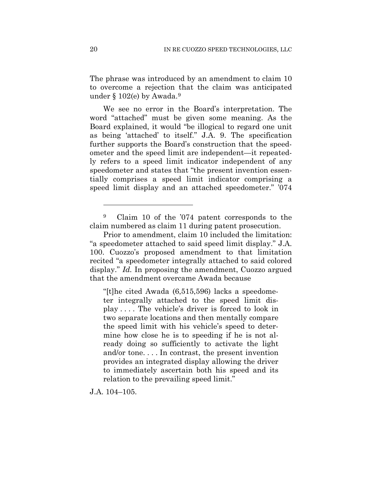The phrase was introduced by an amendment to claim 10 to overcome a rejection that the claim was anticipated under § 102(e) by Awada.[9](#page-19-0)

We see no error in the Board's interpretation. The word "attached" must be given some meaning. As the Board explained, it would "be illogical to regard one unit as being 'attached' to itself." J.A. 9. The specification further supports the Board's construction that the speedometer and the speed limit are independent—it repeatedly refers to a speed limit indicator independent of any speedometer and states that "the present invention essentially comprises a speed limit indicator comprising a speed limit display and an attached speedometer." '074

"[t]he cited Awada (6,515,596) lacks a speedometer integrally attached to the speed limit display . . . . The vehicle's driver is forced to look in two separate locations and then mentally compare the speed limit with his vehicle's speed to determine how close he is to speeding if he is not already doing so sufficiently to activate the light and/or tone. . . . In contrast, the present invention provides an integrated display allowing the driver to immediately ascertain both his speed and its relation to the prevailing speed limit."

J.A. 104–105.

<u>.</u>

<span id="page-19-0"></span><sup>9</sup> Claim 10 of the '074 patent corresponds to the claim numbered as claim 11 during patent prosecution.

Prior to amendment, claim 10 included the limitation: "a speedometer attached to said speed limit display." J.A. 100. Cuozzo's proposed amendment to that limitation recited "a speedometer integrally attached to said colored display." *Id.* In proposing the amendment, Cuozzo argued that the amendment overcame Awada because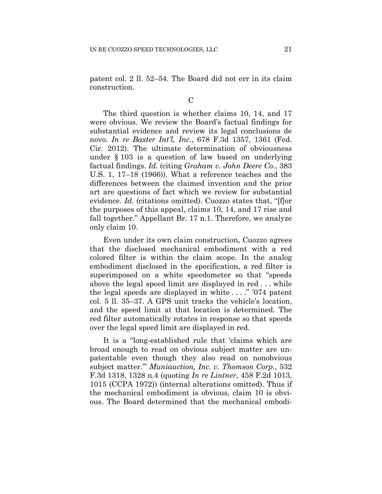patent col. 2 ll. 52–54. The Board did not err in its claim construction.

 $\overline{C}$ 

The third question is whether claims 10, 14, and 17 were obvious. We review the Board's factual findings for substantial evidence and review its legal conclusions de novo. *In re Baxter Int'l, Inc.*, 678 F.3d 1357, 1361 (Fed. Cir. 2012). The ultimate determination of obviousness under § 103 is a question of law based on underlying factual findings. *Id.* (citing *Graham v. John Deere Co.*, 383 U.S. 1, 17–18 (1966)). What a reference teaches and the differences between the claimed invention and the prior art are questions of fact which we review for substantial evidence. *Id.* (citations omitted). Cuozzo states that, "[f]or the purposes of this appeal, claims 10, 14, and 17 rise and fall together." Appellant Br. 17 n.1. Therefore, we analyze only claim 10.

Even under its own claim construction, Cuozzo agrees that the disclosed mechanical embodiment with a red colored filter is within the claim scope. In the analog embodiment disclosed in the specification, a red filter is superimposed on a white speedometer so that "speeds above the legal speed limit are displayed in red . . . while the legal speeds are displayed in white . . . ." '074 patent col. 5 ll. 35–37. A GPS unit tracks the vehicle's location, and the speed limit at that location is determined. The red filter automatically rotates in response so that speeds over the legal speed limit are displayed in red.

It is a "long-established rule that 'claims which are broad enough to read on obvious subject matter are unpatentable even though they also read on nonobvious subject matter.'" *Muniauction, Inc. v. Thomson Corp.*, 532 F.3d 1318, 1328 n.4 (quoting *In re Lintner*, 458 F.2d 1013, 1015 (CCPA 1972)) (internal alterations omitted). Thus if the mechanical embodiment is obvious, claim 10 is obvious. The Board determined that the mechanical embodi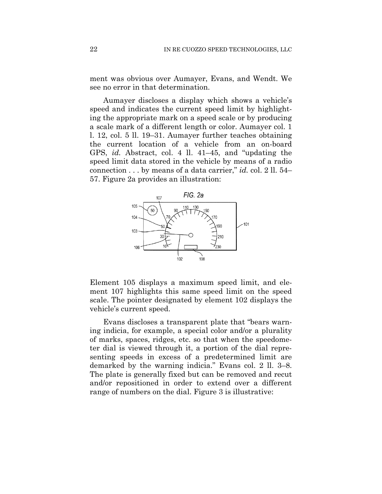ment was obvious over Aumayer, Evans, and Wendt. We see no error in that determination.

Aumayer discloses a display which shows a vehicle's speed and indicates the current speed limit by highlighting the appropriate mark on a speed scale or by producing a scale mark of a different length or color. Aumayer col. 1 l. 12, col. 5 ll. 19–31. Aumayer further teaches obtaining the current location of a vehicle from an on-board GPS, *id.* Abstract, col. 4 ll. 41–45, and "updating the speed limit data stored in the vehicle by means of a radio connection . . . by means of a data carrier," *id.* col. 2 ll. 54– 57. Figure 2a provides an illustration:



Element 105 displays a maximum speed limit, and element 107 highlights this same speed limit on the speed scale. The pointer designated by element 102 displays the vehicle's current speed.

Evans discloses a transparent plate that "bears warning indicia, for example, a special color and/or a plurality of marks, spaces, ridges, etc. so that when the speedometer dial is viewed through it, a portion of the dial representing speeds in excess of a predetermined limit are demarked by the warning indicia." Evans col. 2 ll. 3–8. The plate is generally fixed but can be removed and recut and/or repositioned in order to extend over a different range of numbers on the dial. Figure 3 is illustrative: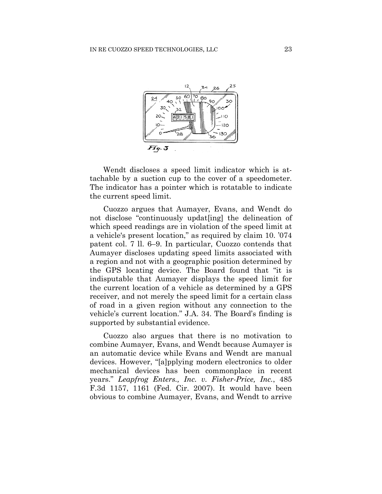

Wendt discloses a speed limit indicator which is attachable by a suction cup to the cover of a speedometer. The indicator has a pointer which is rotatable to indicate the current speed limit.

Cuozzo argues that Aumayer, Evans, and Wendt do not disclose "continuously updat[ing] the delineation of which speed readings are in violation of the speed limit at a vehicle's present location," as required by claim 10. '074 patent col. 7 ll. 6–9. In particular, Cuozzo contends that Aumayer discloses updating speed limits associated with a region and not with a geographic position determined by the GPS locating device. The Board found that "it is indisputable that Aumayer displays the speed limit for the current location of a vehicle as determined by a GPS receiver, and not merely the speed limit for a certain class of road in a given region without any connection to the vehicle's current location." J.A. 34. The Board's finding is supported by substantial evidence.

Cuozzo also argues that there is no motivation to combine Aumayer, Evans, and Wendt because Aumayer is an automatic device while Evans and Wendt are manual devices. However, "[a]pplying modern electronics to older mechanical devices has been commonplace in recent years." *Leapfrog Enters., Inc. v. Fisher-Price, Inc.*, 485 F.3d 1157, 1161 (Fed. Cir. 2007). It would have been obvious to combine Aumayer, Evans, and Wendt to arrive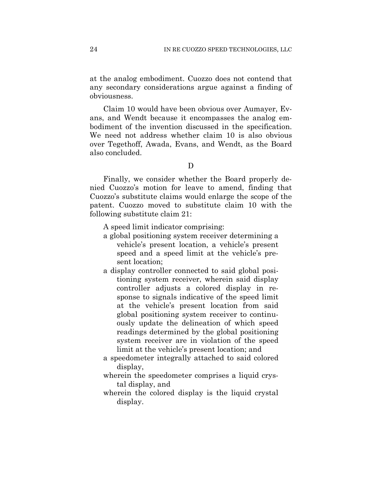at the analog embodiment. Cuozzo does not contend that any secondary considerations argue against a finding of obviousness.

Claim 10 would have been obvious over Aumayer, Evans, and Wendt because it encompasses the analog embodiment of the invention discussed in the specification. We need not address whether claim 10 is also obvious over Tegethoff, Awada, Evans, and Wendt, as the Board also concluded.

D

Finally, we consider whether the Board properly denied Cuozzo's motion for leave to amend, finding that Cuozzo's substitute claims would enlarge the scope of the patent. Cuozzo moved to substitute claim 10 with the following substitute claim 21:

A speed limit indicator comprising:

- a global positioning system receiver determining a vehicle's present location, a vehicle's present speed and a speed limit at the vehicle's present location;
- a display controller connected to said global positioning system receiver, wherein said display controller adjusts a colored display in response to signals indicative of the speed limit at the vehicle's present location from said global positioning system receiver to continuously update the delineation of which speed readings determined by the global positioning system receiver are in violation of the speed limit at the vehicle's present location; and
- a speedometer integrally attached to said colored display,
- wherein the speedometer comprises a liquid crystal display, and
- wherein the colored display is the liquid crystal display.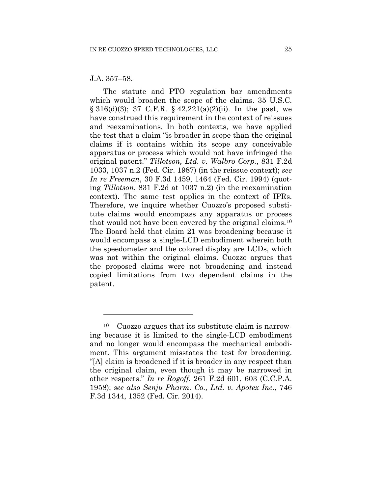### J.A. 357–58.

<u>.</u>

The statute and PTO regulation bar amendments which would broaden the scope of the claims. 35 U.S.C.  $\S 316(d)(3)$ ; 37 C.F.R.  $\S 42.221(a)(2)(ii)$ . In the past, we have construed this requirement in the context of reissues and reexaminations. In both contexts, we have applied the test that a claim "is broader in scope than the original claims if it contains within its scope any conceivable apparatus or process which would not have infringed the original patent." *Tillotson, Ltd. v. Walbro Corp.*, 831 F.2d 1033, 1037 n.2 (Fed. Cir. 1987) (in the reissue context); *see In re Freeman*, 30 F.3d 1459, 1464 (Fed. Cir. 1994) (quoting *Tillotson*, 831 F.2d at 1037 n.2) (in the reexamination context). The same test applies in the context of IPRs. Therefore, we inquire whether Cuozzo's proposed substitute claims would encompass any apparatus or process that would not have been covered by the original claims.[10](#page-24-0) The Board held that claim 21 was broadening because it would encompass a single-LCD embodiment wherein both the speedometer and the colored display are LCDs, which was not within the original claims. Cuozzo argues that the proposed claims were not broadening and instead copied limitations from two dependent claims in the patent.

<span id="page-24-0"></span><sup>10</sup> Cuozzo argues that its substitute claim is narrowing because it is limited to the single-LCD embodiment and no longer would encompass the mechanical embodiment. This argument misstates the test for broadening. "[A] claim is broadened if it is broader in any respect than the original claim, even though it may be narrowed in other respects." *In re Rogoff*, 261 F.2d 601, 603 (C.C.P.A. 1958); *see also Senju Pharm. Co., Ltd. v. Apotex Inc.*, 746 F.3d 1344, 1352 (Fed. Cir. 2014).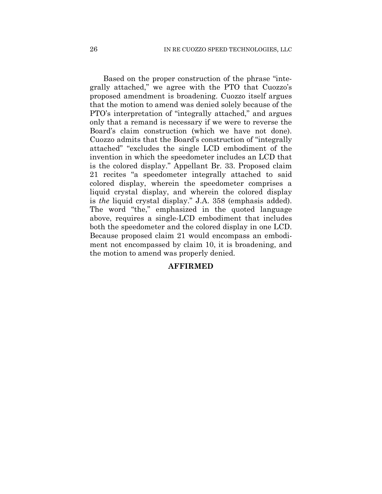Based on the proper construction of the phrase "integrally attached," we agree with the PTO that Cuozzo's proposed amendment is broadening. Cuozzo itself argues that the motion to amend was denied solely because of the PTO's interpretation of "integrally attached," and argues only that a remand is necessary if we were to reverse the Board's claim construction (which we have not done). Cuozzo admits that the Board's construction of "integrally attached" "excludes the single LCD embodiment of the invention in which the speedometer includes an LCD that is the colored display." Appellant Br. 33. Proposed claim 21 recites "a speedometer integrally attached to said colored display, wherein the speedometer comprises a liquid crystal display, and wherein the colored display is *the* liquid crystal display." J.A. 358 (emphasis added). The word "the," emphasized in the quoted language above, requires a single-LCD embodiment that includes both the speedometer and the colored display in one LCD. Because proposed claim 21 would encompass an embodiment not encompassed by claim 10, it is broadening, and the motion to amend was properly denied.

## **AFFIRMED**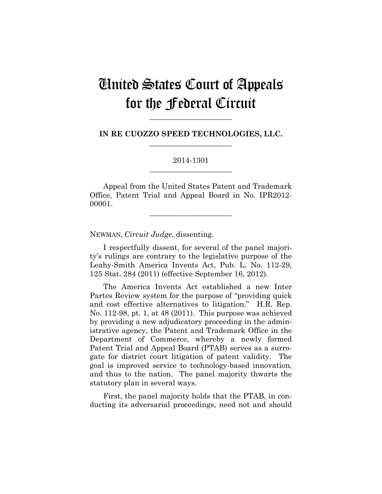# United States Court of Appeals for the Federal Circuit

**IN RE CUOZZO SPEED TECHNOLOGIES, LLC. \_\_\_\_\_\_\_\_\_\_\_\_\_\_\_\_\_\_\_\_\_\_**

**\_\_\_\_\_\_\_\_\_\_\_\_\_\_\_\_\_\_\_\_\_\_**

# 2014-1301 **\_\_\_\_\_\_\_\_\_\_\_\_\_\_\_\_\_\_\_\_\_\_**

Appeal from the United States Patent and Trademark Office, Patent Trial and Appeal Board in No. IPR2012- 00001.

**\_\_\_\_\_\_\_\_\_\_\_\_\_\_\_\_\_\_\_\_\_\_**

NEWMAN, *Circuit Judge*, dissenting.

I respectfully dissent, for several of the panel majority's rulings are contrary to the legislative purpose of the Leahy-Smith America Invents Act, Pub. L. No. 112-29, 125 Stat. 284 (2011) (effective September 16, 2012).

The America Invents Act established a new Inter Partes Review system for the purpose of "providing quick and cost effective alternatives to litigation." H.R. Rep. No. 112-98, pt. 1, at 48 (2011). This purpose was achieved by providing a new adjudicatory proceeding in the administrative agency, the Patent and Trademark Office in the Department of Commerce, whereby a newly formed Patent Trial and Appeal Board (PTAB) serves as a surrogate for district court litigation of patent validity. The goal is improved service to technology-based innovation, and thus to the nation. The panel majority thwarts the statutory plan in several ways.

First, the panel majority holds that the PTAB, in conducting its adversarial proceedings, need not and should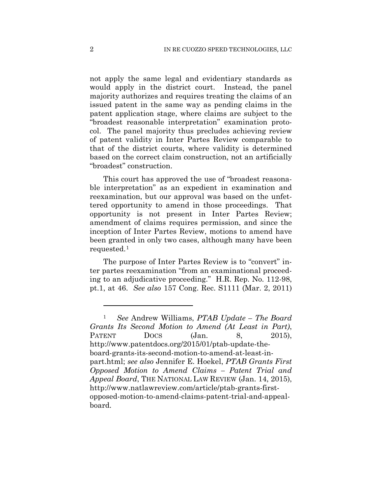not apply the same legal and evidentiary standards as would apply in the district court. Instead, the panel majority authorizes and requires treating the claims of an issued patent in the same way as pending claims in the patent application stage, where claims are subject to the "broadest reasonable interpretation" examination protocol. The panel majority thus precludes achieving review of patent validity in Inter Partes Review comparable to that of the district courts, where validity is determined based on the correct claim construction, not an artificially "broadest" construction.

This court has approved the use of "broadest reasonable interpretation" as an expedient in examination and reexamination, but our approval was based on the unfettered opportunity to amend in those proceedings. That opportunity is not present in Inter Partes Review; amendment of claims requires permission, and since the inception of Inter Partes Review, motions to amend have been granted in only two cases, although many have been requested.[1](#page-27-0)

The purpose of Inter Partes Review is to "convert" inter partes reexamination "from an examinational proceeding to an adjudicative proceeding." H.R. Rep. No. 112-98, pt.1, at 46. *See also* 157 Cong. Rec. S1111 (Mar. 2, 2011)

1

<span id="page-27-0"></span><sup>1</sup> *See* Andrew Williams, *PTAB Update – The Board Grants Its Second Motion to Amend (At Least in Part)*, PATENT  $Docs$   $(Jan. 8, 2015)$ , http://www.patentdocs.org/2015/01/ptab-update-theboard-grants-its-second-motion-to-amend-at-least-inpart.html; *see also* Jennifer E. Hoekel, *PTAB Grants First Opposed Motion to Amend Claims – Patent Trial and Appeal Board*, THE NATIONAL LAW REVIEW (Jan. 14, 2015), http://www.natlawreview.com/article/ptab-grants-firstopposed-motion-to-amend-claims-patent-trial-and-appealboard.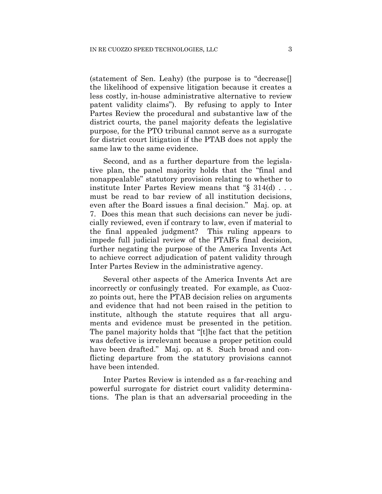(statement of Sen. Leahy) (the purpose is to "decrease[] the likelihood of expensive litigation because it creates a less costly, in-house administrative alternative to review patent validity claims"). By refusing to apply to Inter Partes Review the procedural and substantive law of the district courts, the panel majority defeats the legislative purpose, for the PTO tribunal cannot serve as a surrogate for district court litigation if the PTAB does not apply the same law to the same evidence.

Second, and as a further departure from the legislative plan, the panel majority holds that the "final and nonappealable" statutory provision relating to whether to institute Inter Partes Review means that "§ 314(d) . . . must be read to bar review of all institution decisions, even after the Board issues a final decision." Maj. op. at 7. Does this mean that such decisions can never be judicially reviewed, even if contrary to law, even if material to the final appealed judgment? This ruling appears to impede full judicial review of the PTAB's final decision, further negating the purpose of the America Invents Act to achieve correct adjudication of patent validity through Inter Partes Review in the administrative agency.

Several other aspects of the America Invents Act are incorrectly or confusingly treated. For example, as Cuozzo points out, here the PTAB decision relies on arguments and evidence that had not been raised in the petition to institute, although the statute requires that all arguments and evidence must be presented in the petition. The panel majority holds that "[t]he fact that the petition was defective is irrelevant because a proper petition could have been drafted." Maj. op. at 8. Such broad and conflicting departure from the statutory provisions cannot have been intended.

Inter Partes Review is intended as a far-reaching and powerful surrogate for district court validity determinations. The plan is that an adversarial proceeding in the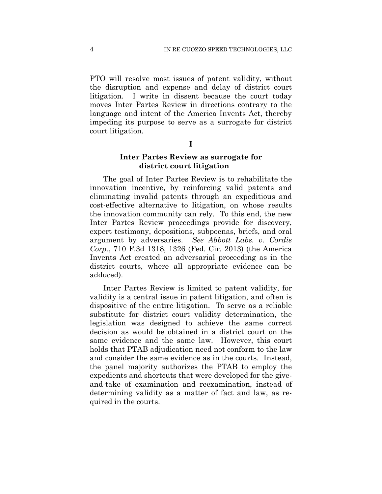PTO will resolve most issues of patent validity, without the disruption and expense and delay of district court litigation. I write in dissent because the court today moves Inter Partes Review in directions contrary to the language and intent of the America Invents Act, thereby impeding its purpose to serve as a surrogate for district court litigation.

## **I**

# **Inter Partes Review as surrogate for district court litigation**

The goal of Inter Partes Review is to rehabilitate the innovation incentive, by reinforcing valid patents and eliminating invalid patents through an expeditious and cost-effective alternative to litigation, on whose results the innovation community can rely. To this end, the new Inter Partes Review proceedings provide for discovery, expert testimony, depositions, subpoenas, briefs, and oral argument by adversaries. *See Abbott Labs. v. Cordis Corp.*, 710 F.3d 1318, 1326 (Fed. Cir. 2013) (the America Invents Act created an adversarial proceeding as in the district courts, where all appropriate evidence can be adduced).

Inter Partes Review is limited to patent validity, for validity is a central issue in patent litigation, and often is dispositive of the entire litigation. To serve as a reliable substitute for district court validity determination, the legislation was designed to achieve the same correct decision as would be obtained in a district court on the same evidence and the same law. However, this court holds that PTAB adjudication need not conform to the law and consider the same evidence as in the courts. Instead, the panel majority authorizes the PTAB to employ the expedients and shortcuts that were developed for the giveand-take of examination and reexamination, instead of determining validity as a matter of fact and law, as required in the courts.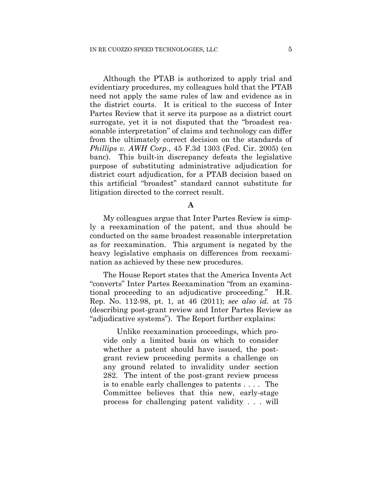Although the PTAB is authorized to apply trial and evidentiary procedures, my colleagues hold that the PTAB need not apply the same rules of law and evidence as in the district courts. It is critical to the success of Inter Partes Review that it serve its purpose as a district court surrogate, yet it is not disputed that the "broadest reasonable interpretation" of claims and technology can differ from the ultimately correct decision on the standards of *Phillips v. AWH Corp*., 45 F.3d 1303 (Fed. Cir. 2005) (en banc). This built-in discrepancy defeats the legislative purpose of substituting administrative adjudication for district court adjudication, for a PTAB decision based on this artificial "broadest" standard cannot substitute for litigation directed to the correct result.

**A**

My colleagues argue that Inter Partes Review is simply a reexamination of the patent, and thus should be conducted on the same broadest reasonable interpretation as for reexamination. This argument is negated by the heavy legislative emphasis on differences from reexamination as achieved by these new procedures.

The House Report states that the America Invents Act "converts" Inter Partes Reexamination "from an examinational proceeding to an adjudicative proceeding." H.R. Rep. No. 112-98, pt. 1, at 46 (2011); *see also id.* at 75 (describing post-grant review and Inter Partes Review as "adjudicative systems"). The Report further explains:

Unlike reexamination proceedings, which provide only a limited basis on which to consider whether a patent should have issued, the postgrant review proceeding permits a challenge on any ground related to invalidity under section 282. The intent of the post-grant review process is to enable early challenges to patents . . . . The Committee believes that this new, early-stage process for challenging patent validity . . . will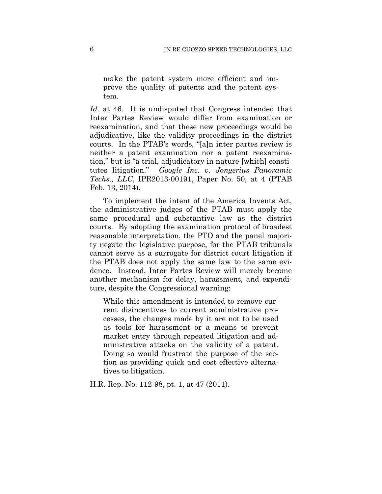make the patent system more efficient and improve the quality of patents and the patent system.

*Id.* at 46. It is undisputed that Congress intended that Inter Partes Review would differ from examination or reexamination, and that these new proceedings would be adjudicative, like the validity proceedings in the district courts. In the PTAB's words, "[a]n inter partes review is neither a patent examination nor a patent reexamination," but is "a trial, adjudicatory in nature [which] constitutes litigation." *Google Inc. v. Jongerius Panoramic Techs., LLC*, IPR2013-00191, Paper No. 50, at 4 (PTAB Feb. 13, 2014).

To implement the intent of the America Invents Act, the administrative judges of the PTAB must apply the same procedural and substantive law as the district courts. By adopting the examination protocol of broadest reasonable interpretation, the PTO and the panel majority negate the legislative purpose, for the PTAB tribunals cannot serve as a surrogate for district court litigation if the PTAB does not apply the same law to the same evidence. Instead, Inter Partes Review will merely become another mechanism for delay, harassment, and expenditure, despite the Congressional warning:

While this amendment is intended to remove current disincentives to current administrative processes, the changes made by it are not to be used as tools for harassment or a means to prevent market entry through repeated litigation and administrative attacks on the validity of a patent. Doing so would frustrate the purpose of the section as providing quick and cost effective alternatives to litigation.

H.R. Rep. No. 112-98, pt. 1, at 47 (2011).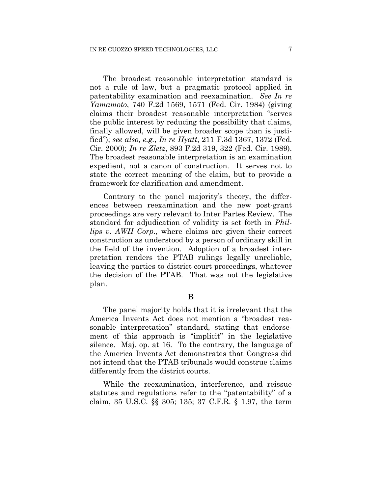The broadest reasonable interpretation standard is not a rule of law, but a pragmatic protocol applied in patentability examination and reexamination. *See In re Yamamoto*, 740 F.2d 1569, 1571 (Fed. Cir. 1984) (giving claims their broadest reasonable interpretation "serves the public interest by reducing the possibility that claims, finally allowed, will be given broader scope than is justified"); *see also, e.g.*, *In re Hyatt*, 211 F.3d 1367, 1372 (Fed. Cir. 2000); *In re Zletz*, 893 F.2d 319, 322 (Fed. Cir. 1989). The broadest reasonable interpretation is an examination expedient, not a canon of construction. It serves not to state the correct meaning of the claim, but to provide a framework for clarification and amendment.

Contrary to the panel majority's theory, the differences between reexamination and the new post-grant proceedings are very relevant to Inter Partes Review. The standard for adjudication of validity is set forth in *Phillips v. AWH Corp.*, where claims are given their correct construction as understood by a person of ordinary skill in the field of the invention. Adoption of a broadest interpretation renders the PTAB rulings legally unreliable, leaving the parties to district court proceedings, whatever the decision of the PTAB. That was not the legislative plan.

**B**

The panel majority holds that it is irrelevant that the America Invents Act does not mention a "broadest reasonable interpretation" standard, stating that endorsement of this approach is "implicit" in the legislative silence. Maj. op. at 16. To the contrary, the language of the America Invents Act demonstrates that Congress did not intend that the PTAB tribunals would construe claims differently from the district courts.

While the reexamination, interference, and reissue statutes and regulations refer to the "patentability" of a claim, 35 U.S.C. §§ 305; 135; 37 C.F.R. § 1.97, the term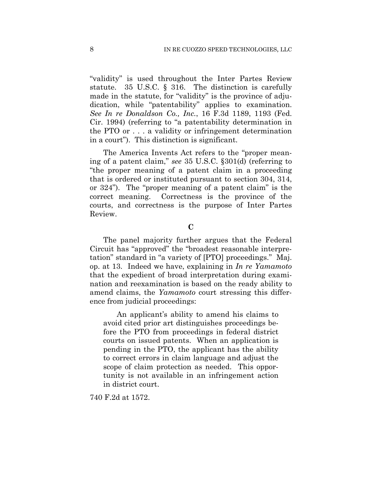"validity" is used throughout the Inter Partes Review statute. 35 U.S.C. § 316. The distinction is carefully made in the statute, for "validity" is the province of adjudication, while "patentability" applies to examination. *See In re Donaldson Co., Inc.*, 16 F.3d 1189, 1193 (Fed. Cir. 1994) (referring to "a patentability determination in the PTO or . . . a validity or infringement determination in a court"). This distinction is significant.

The America Invents Act refers to the "proper meaning of a patent claim," *see* 35 U.S.C. §301(d) (referring to "the proper meaning of a patent claim in a proceeding that is ordered or instituted pursuant to section 304, 314, or 324"). The "proper meaning of a patent claim" is the correct meaning. Correctness is the province of the courts, and correctness is the purpose of Inter Partes Review.

**C**

The panel majority further argues that the Federal Circuit has "approved" the "broadest reasonable interpretation" standard in "a variety of [PTO] proceedings." Maj. op. at 13. Indeed we have, explaining in *In re Yamamoto* that the expedient of broad interpretation during examination and reexamination is based on the ready ability to amend claims, the *Yamamoto* court stressing this difference from judicial proceedings:

An applicant's ability to amend his claims to avoid cited prior art distinguishes proceedings before the PTO from proceedings in federal district courts on issued patents. When an application is pending in the PTO, the applicant has the ability to correct errors in claim language and adjust the scope of claim protection as needed. This opportunity is not available in an infringement action in district court.

740 F.2d at 1572.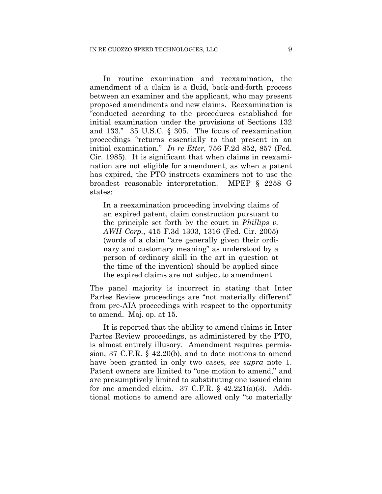In routine examination and reexamination, the amendment of a claim is a fluid, back-and-forth process between an examiner and the applicant, who may present proposed amendments and new claims. Reexamination is "conducted according to the procedures established for initial examination under the provisions of Sections 132 and 133." 35 U.S.C. § 305. The focus of reexamination proceedings "returns essentially to that present in an initial examination." *In re Etter*, 756 F.2d 852, 857 (Fed. Cir. 1985). It is significant that when claims in reexamination are not eligible for amendment, as when a patent has expired, the PTO instructs examiners not to use the broadest reasonable interpretation. MPEP § 2258 G states:

In a reexamination proceeding involving claims of an expired patent, claim construction pursuant to the principle set forth by the court in *Phillips v. AWH Corp.*, 415 F.3d 1303, 1316 (Fed. Cir. 2005) (words of a claim "are generally given their ordinary and customary meaning" as understood by a person of ordinary skill in the art in question at the time of the invention) should be applied since the expired claims are not subject to amendment.

The panel majority is incorrect in stating that Inter Partes Review proceedings are "not materially different" from pre-AIA proceedings with respect to the opportunity to amend. Maj. op. at 15.

It is reported that the ability to amend claims in Inter Partes Review proceedings, as administered by the PTO, is almost entirely illusory. Amendment requires permission, 37 C.F.R. § 42.20(b), and to date motions to amend have been granted in only two cases, *see supra* note 1. Patent owners are limited to "one motion to amend," and are presumptively limited to substituting one issued claim for one amended claim.  $37 \text{ C.F.R. } \S$   $42.221(a)(3)$ . Additional motions to amend are allowed only "to materially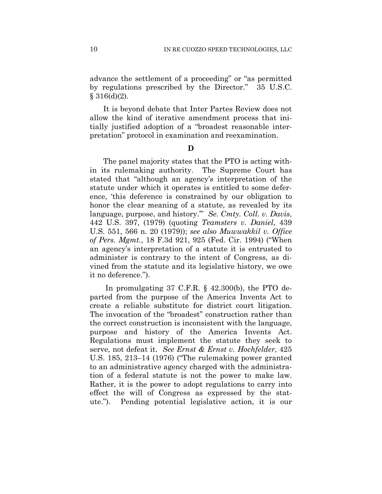advance the settlement of a proceeding" or "as permitted by regulations prescribed by the Director." 35 U.S.C.  $§ 316(d)(2).$ 

It is beyond debate that Inter Partes Review does not allow the kind of iterative amendment process that initially justified adoption of a "broadest reasonable interpretation" protocol in examination and reexamination.

**D**

The panel majority states that the PTO is acting within its rulemaking authority. The Supreme Court has stated that "although an agency's interpretation of the statute under which it operates is entitled to some deference, 'this deference is constrained by our obligation to honor the clear meaning of a statute, as revealed by its language, purpose, and history.'" *Se. Cmty. Coll. v. Davis*, 442 U.S. 397, (1979) (quoting *Teamsters v. Daniel*, 439 U.S. 551, 566 n. 20 (1979)); *see also Muwwakkil v. Office of Pers. Mgmt.*, 18 F.3d 921, 925 (Fed. Cir. 1994) ("When an agency's interpretation of a statute it is entrusted to administer is contrary to the intent of Congress, as divined from the statute and its legislative history, we owe it no deference.").

In promulgating 37 C.F.R. § 42.300(b), the PTO departed from the purpose of the America Invents Act to create a reliable substitute for district court litigation. The invocation of the "broadest" construction rather than the correct construction is inconsistent with the language, purpose and history of the America Invents Act. Regulations must implement the statute they seek to serve, not defeat it. *See Ernst & Ernst v. Hochfelder*, 425 U.S. 185, 213–14 (1976) ("The rulemaking power granted to an administrative agency charged with the administration of a federal statute is not the power to make law. Rather, it is the power to adopt regulations to carry into effect the will of Congress as expressed by the statute."). Pending potential legislative action, it is our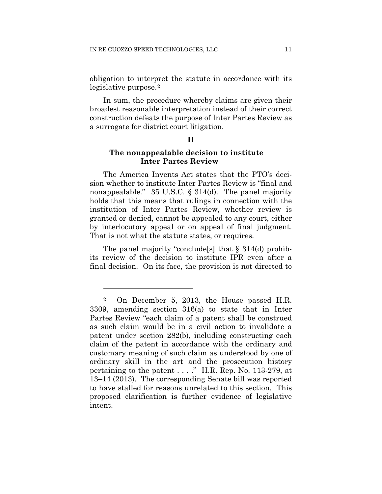obligation to interpret the statute in accordance with its legislative purpose.[2](#page-36-0)

In sum, the procedure whereby claims are given their broadest reasonable interpretation instead of their correct construction defeats the purpose of Inter Partes Review as a surrogate for district court litigation.

#### **II**

# **The nonappealable decision to institute Inter Partes Review**

The America Invents Act states that the PTO's decision whether to institute Inter Partes Review is "final and nonappealable." 35 U.S.C. § 314(d). The panel majority holds that this means that rulings in connection with the institution of Inter Partes Review, whether review is granted or denied, cannot be appealed to any court, either by interlocutory appeal or on appeal of final judgment. That is not what the statute states, or requires.

The panel majority "conclude[s] that § 314(d) prohibits review of the decision to institute IPR even after a final decision. On its face, the provision is not directed to

<u>.</u>

<span id="page-36-0"></span><sup>2</sup> On December 5, 2013, the House passed H.R. 3309, amending section 316(a) to state that in Inter Partes Review "each claim of a patent shall be construed as such claim would be in a civil action to invalidate a patent under section 282(b), including constructing each claim of the patent in accordance with the ordinary and customary meaning of such claim as understood by one of ordinary skill in the art and the prosecution history pertaining to the patent . . . ." H.R. Rep. No. 113-279, at 13–14 (2013). The corresponding Senate bill was reported to have stalled for reasons unrelated to this section. This proposed clarification is further evidence of legislative intent.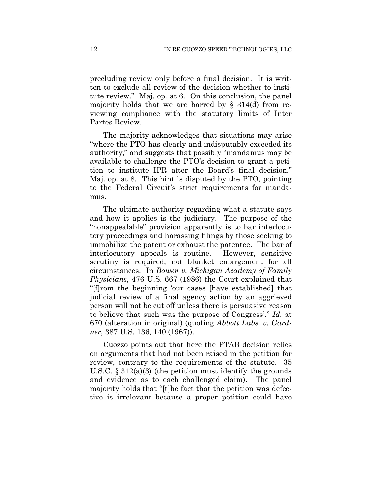precluding review only before a final decision. It is written to exclude all review of the decision whether to institute review." Maj. op. at 6. On this conclusion, the panel majority holds that we are barred by  $\S$  314(d) from reviewing compliance with the statutory limits of Inter Partes Review.

The majority acknowledges that situations may arise "where the PTO has clearly and indisputably exceeded its authority," and suggests that possibly "mandamus may be available to challenge the PTO's decision to grant a petition to institute IPR after the Board's final decision." Maj. op. at 8. This hint is disputed by the PTO, pointing to the Federal Circuit's strict requirements for mandamus.

The ultimate authority regarding what a statute says and how it applies is the judiciary. The purpose of the "nonappealable" provision apparently is to bar interlocutory proceedings and harassing filings by those seeking to immobilize the patent or exhaust the patentee. The bar of interlocutory appeals is routine. However, sensitive scrutiny is required, not blanket enlargement for all circumstances. In *Bowen v. Michigan Academy of Family Physicians*, 476 U.S. 667 (1986) the Court explained that "[f]rom the beginning 'our cases [have established] that judicial review of a final agency action by an aggrieved person will not be cut off unless there is persuasive reason to believe that such was the purpose of Congress'." *Id.* at 670 (alteration in original) (quoting *Abbott Labs. v. Gardner*, 387 U.S. 136, 140 (1967)).

Cuozzo points out that here the PTAB decision relies on arguments that had not been raised in the petition for review, contrary to the requirements of the statute. 35 U.S.C.  $\S 312(a)(3)$  (the petition must identify the grounds and evidence as to each challenged claim). The panel majority holds that "[t]he fact that the petition was defective is irrelevant because a proper petition could have